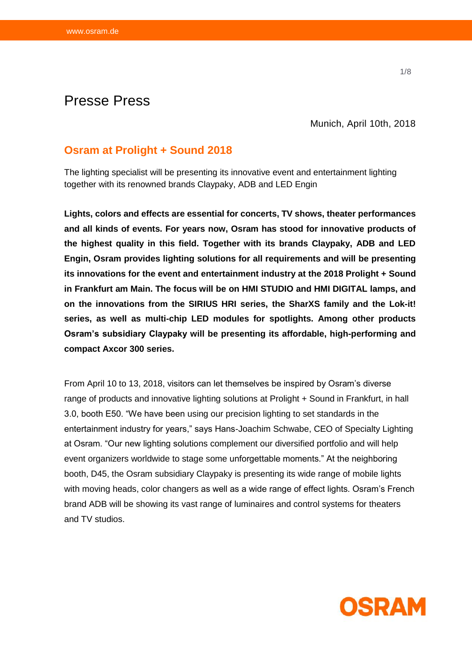# Presse Press

Munich, April 10th, 2018

# **Osram at Prolight + Sound 2018**

The lighting specialist will be presenting its innovative event and entertainment lighting together with its renowned brands Claypaky, ADB and LED Engin

**Lights, colors and effects are essential for concerts, TV shows, theater performances and all kinds of events. For years now, Osram has stood for innovative products of the highest quality in this field. Together with its brands Claypaky, ADB and LED Engin, Osram provides lighting solutions for all requirements and will be presenting its innovations for the event and entertainment industry at the 2018 Prolight + Sound in Frankfurt am Main. The focus will be on HMI STUDIO and HMI DIGITAL lamps, and on the innovations from the SIRIUS HRI series, the SharXS family and the Lok-it! series, as well as multi-chip LED modules for spotlights. Among other products Osram's subsidiary Claypaky will be presenting its affordable, high-performing and compact Axcor 300 series.** 

From April 10 to 13, 2018, visitors can let themselves be inspired by Osram's diverse range of products and innovative lighting solutions at Prolight + Sound in Frankfurt, in hall 3.0, booth E50. "We have been using our precision lighting to set standards in the entertainment industry for years," says Hans-Joachim Schwabe, CEO of Specialty Lighting at Osram. "Our new lighting solutions complement our diversified portfolio and will help event organizers worldwide to stage some unforgettable moments." At the neighboring booth, D45, the Osram subsidiary Claypaky is presenting its wide range of mobile lights with moving heads, color changers as well as a wide range of effect lights. Osram's French brand ADB will be showing its vast range of luminaires and control systems for theaters and TV studios.

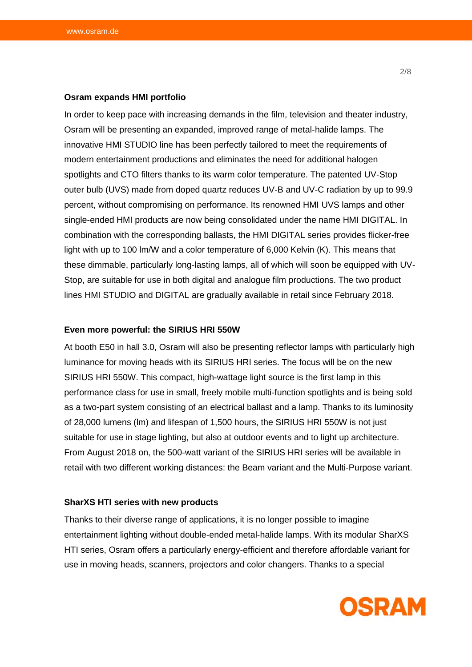#### **Osram expands HMI portfolio**

In order to keep pace with increasing demands in the film, television and theater industry, Osram will be presenting an expanded, improved range of metal-halide lamps. The innovative HMI STUDIO line has been perfectly tailored to meet the requirements of modern entertainment productions and eliminates the need for additional halogen spotlights and CTO filters thanks to its warm color temperature. The patented UV-Stop outer bulb (UVS) made from doped quartz reduces UV-B and UV-C radiation by up to 99.9 percent, without compromising on performance. Its renowned HMI UVS lamps and other single-ended HMI products are now being consolidated under the name HMI DIGITAL. In combination with the corresponding ballasts, the HMI DIGITAL series provides flicker-free light with up to 100 lm/W and a color temperature of 6,000 Kelvin (K). This means that these dimmable, particularly long-lasting lamps, all of which will soon be equipped with UV-Stop, are suitable for use in both digital and analogue film productions. The two product lines HMI STUDIO and DIGITAL are gradually available in retail since February 2018.

# **Even more powerful: the SIRIUS HRI 550W**

At booth E50 in hall 3.0, Osram will also be presenting reflector lamps with particularly high luminance for moving heads with its SIRIUS HRI series. The focus will be on the new SIRIUS HRI 550W. This compact, high-wattage light source is the first lamp in this performance class for use in small, freely mobile multi-function spotlights and is being sold as a two-part system consisting of an electrical ballast and a lamp. Thanks to its luminosity of 28,000 lumens (lm) and lifespan of 1,500 hours, the SIRIUS HRI 550W is not just suitable for use in stage lighting, but also at outdoor events and to light up architecture. From August 2018 on, the 500-watt variant of the SIRIUS HRI series will be available in retail with two different working distances: the Beam variant and the Multi-Purpose variant.

#### **SharXS HTI series with new products**

Thanks to their diverse range of applications, it is no longer possible to imagine entertainment lighting without double-ended metal-halide lamps. With its modular SharXS HTI series, Osram offers a particularly energy-efficient and therefore affordable variant for use in moving heads, scanners, projectors and color changers. Thanks to a special

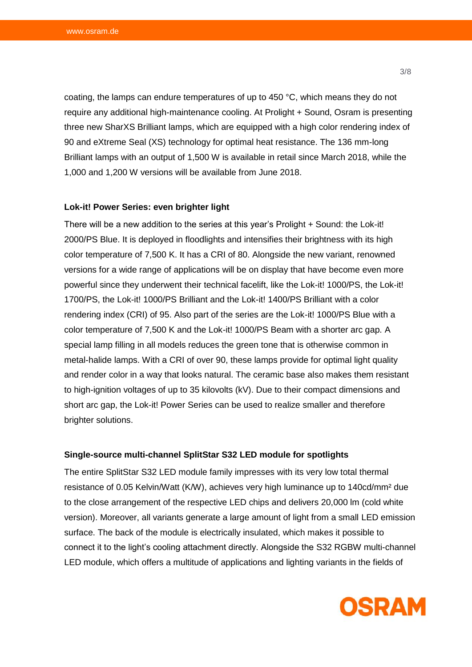coating, the lamps can endure temperatures of up to 450 °C, which means they do not require any additional high-maintenance cooling. At Prolight + Sound, Osram is presenting three new SharXS Brilliant lamps, which are equipped with a high color rendering index of 90 and eXtreme Seal (XS) technology for optimal heat resistance. The 136 mm-long Brilliant lamps with an output of 1,500 W is available in retail since March 2018, while the 1,000 and 1,200 W versions will be available from June 2018.

#### **Lok-it! Power Series: even brighter light**

There will be a new addition to the series at this year's Prolight + Sound: the Lok-it! 2000/PS Blue. It is deployed in floodlights and intensifies their brightness with its high color temperature of 7,500 K. It has a CRI of 80. Alongside the new variant, renowned versions for a wide range of applications will be on display that have become even more powerful since they underwent their technical facelift, like the Lok-it! 1000/PS, the Lok-it! 1700/PS, the Lok-it! 1000/PS Brilliant and the Lok-it! 1400/PS Brilliant with a color rendering index (CRI) of 95. Also part of the series are the Lok-it! 1000/PS Blue with a color temperature of 7,500 K and the Lok-it! 1000/PS Beam with a shorter arc gap. A special lamp filling in all models reduces the green tone that is otherwise common in metal-halide lamps. With a CRI of over 90, these lamps provide for optimal light quality and render color in a way that looks natural. The ceramic base also makes them resistant to high-ignition voltages of up to 35 kilovolts (kV). Due to their compact dimensions and short arc gap, the Lok-it! Power Series can be used to realize smaller and therefore brighter solutions.

# **Single-source multi-channel SplitStar S32 LED module for spotlights**

The entire SplitStar S32 LED module family impresses with its very low total thermal resistance of 0.05 Kelvin/Watt (K/W), achieves very high luminance up to 140cd/mm² due to the close arrangement of the respective LED chips and delivers 20,000 lm (cold white version). Moreover, all variants generate a large amount of light from a small LED emission surface. The back of the module is electrically insulated, which makes it possible to connect it to the light's cooling attachment directly. Alongside the S32 RGBW multi-channel LED module, which offers a multitude of applications and lighting variants in the fields of

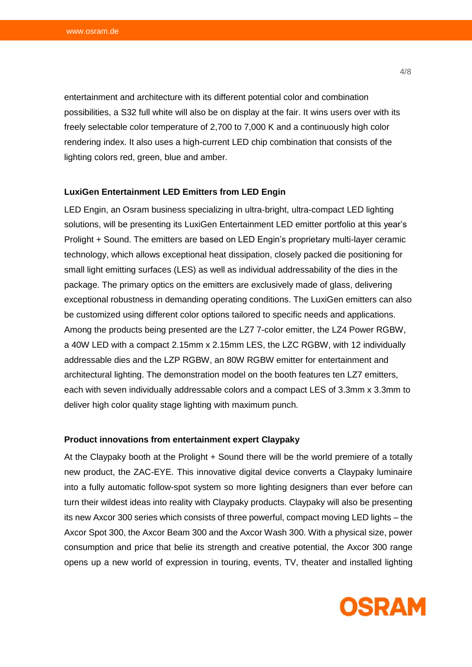entertainment and architecture with its different potential color and combination possibilities, a S32 full white will also be on display at the fair. It wins users over with its freely selectable color temperature of 2,700 to 7,000 K and a continuously high color rendering index. It also uses a high-current LED chip combination that consists of the lighting colors red, green, blue and amber.

#### **LuxiGen Entertainment LED Emitters from LED Engin**

LED Engin, an Osram business specializing in ultra-bright, ultra-compact LED lighting solutions, will be presenting its LuxiGen Entertainment LED emitter portfolio at this year's Prolight + Sound. The emitters are based on LED Engin's proprietary multi-layer ceramic technology, which allows exceptional heat dissipation, closely packed die positioning for small light emitting surfaces (LES) as well as individual addressability of the dies in the package. The primary optics on the emitters are exclusively made of glass, delivering exceptional robustness in demanding operating conditions. The LuxiGen emitters can also be customized using different color options tailored to specific needs and applications. Among the products being presented are the LZ7 7-color emitter, the LZ4 Power RGBW, a 40W LED with a compact 2.15mm x 2.15mm LES, the LZC RGBW, with 12 individually addressable dies and the LZP RGBW, an 80W RGBW emitter for entertainment and architectural lighting. The demonstration model on the booth features ten LZ7 emitters, each with seven individually addressable colors and a compact LES of 3.3mm x 3.3mm to deliver high color quality stage lighting with maximum punch.

#### **Product innovations from entertainment expert Claypaky**

At the Claypaky booth at the Prolight + Sound there will be the world premiere of a totally new product, the ZAC-EYE. This innovative digital device converts a Claypaky luminaire into a fully automatic follow-spot system so more lighting designers than ever before can turn their wildest ideas into reality with Claypaky products. Claypaky will also be presenting its new Axcor 300 series which consists of three powerful, compact moving LED lights – the Axcor Spot 300, the Axcor Beam 300 and the Axcor Wash 300. With a physical size, power consumption and price that belie its strength and creative potential, the Axcor 300 range opens up a new world of expression in touring, events, TV, theater and installed lighting

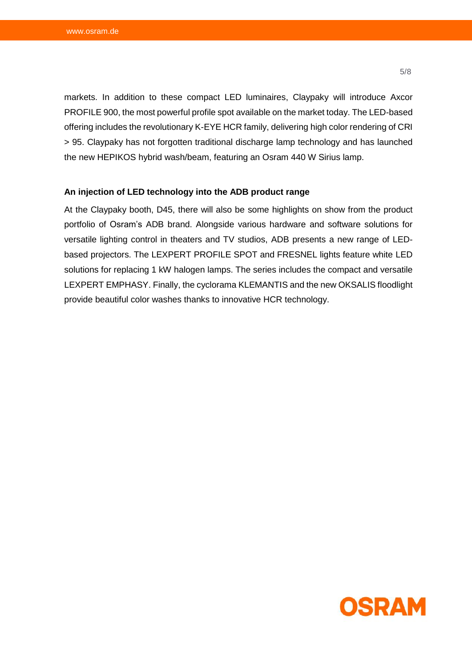markets. In addition to these compact LED luminaires, Claypaky will introduce Axcor PROFILE 900, the most powerful profile spot available on the market today. The LED-based offering includes the revolutionary K-EYE HCR family, delivering high color rendering of CRI > 95. Claypaky has not forgotten traditional discharge lamp technology and has launched the new HEPIKOS hybrid wash/beam, featuring an Osram 440 W Sirius lamp.

# **An injection of LED technology into the ADB product range**

At the Claypaky booth, D45, there will also be some highlights on show from the product portfolio of Osram's ADB brand. Alongside various hardware and software solutions for versatile lighting control in theaters and TV studios, ADB presents a new range of LEDbased projectors. The LEXPERT PROFILE SPOT and FRESNEL lights feature white LED solutions for replacing 1 kW halogen lamps. The series includes the compact and versatile LEXPERT EMPHASY. Finally, the cyclorama KLEMANTIS and the new OKSALIS floodlight provide beautiful color washes thanks to innovative HCR technology.



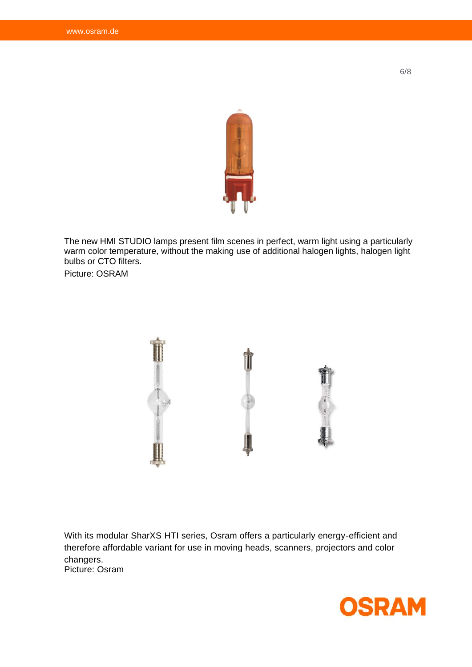

The new HMI STUDIO lamps present film scenes in perfect, warm light using a particularly warm color temperature, without the making use of additional halogen lights, halogen light bulbs or CTO filters.

Picture: OSRAM



With its modular SharXS HTI series, Osram offers a particularly energy-efficient and therefore affordable variant for use in moving heads, scanners, projectors and color changers. Picture: Osram



6/8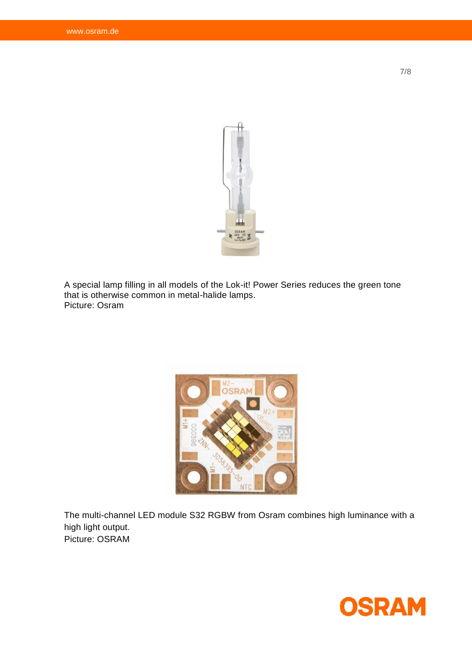

A special lamp filling in all models of the Lok-it! Power Series reduces the green tone that is otherwise common in metal-halide lamps. Picture: Osram



The multi-channel LED module S32 RGBW from Osram combines high luminance with a high light output. Picture: OSRAM



7/8